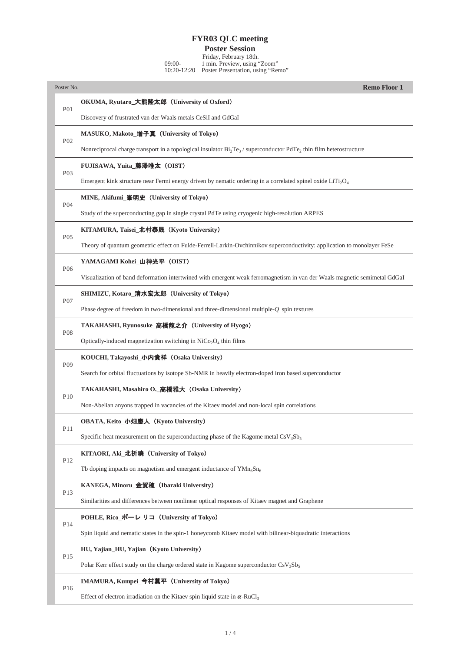#### **Poster Session**

 Friday, February 18th. 09:00- 1 min. Preview, using "Zoom" 10:20-12:20 Poster Presentation, using "Remo"

| Poster No.       | <b>Remo Floor 1</b>                                                                                                              |
|------------------|----------------------------------------------------------------------------------------------------------------------------------|
| <b>P01</b>       | OKUMA, Ryutaro_大熊隆太郎 (University of Oxford)                                                                                      |
|                  | Discovery of frustrated van der Waals metals CeSiI and GdGaI                                                                     |
|                  | MASUKO, Makoto_增子真 (University of Tokyo)                                                                                         |
| P <sub>02</sub>  | Nonreciprocal charge transport in a topological insulator $Bi_2Te_3$ /superconductor PdTe <sub>2</sub> thin film heterostructure |
| P <sub>0</sub> 3 | FUJISAWA, Yuita_藤澤唯太 (OIST)                                                                                                      |
|                  | Emergent kink structure near Fermi energy driven by nematic ordering in a correlated spinel oxide $LiTi2O4$                      |
| P <sub>04</sub>  | MINE, Akifumi_峯明史 (University of Tokyo)                                                                                          |
|                  | Study of the superconducting gap in single crystal PdTe using cryogenic high-resolution ARPES                                    |
| P <sub>05</sub>  | KITAMURA, Taisei_北村泰晟 (Kyoto University)                                                                                         |
|                  | Theory of quantum geometric effect on Fulde-Ferrell-Larkin-Ovchinnikov superconductivity: application to monolayer FeSe          |
| P <sub>06</sub>  | YAMAGAMI Kohei_山神光平 (OIST)                                                                                                       |
|                  | Visualization of band deformation intertwined with emergent weak ferromagnetism in van der Waals magnetic semimetal GdGaI        |
| P <sub>07</sub>  | SHIMIZU, Kotaro_清水宏太郎 (University of Tokyo)                                                                                      |
|                  | Phase degree of freedom in two-dimensional and three-dimensional multiple- $Q$ spin textures                                     |
| P <sub>08</sub>  | TAKAHASHI, Ryunosuke_高橋龍之介 (University of Hyogo)                                                                                 |
|                  | Optically-induced magnetization switching in $NiCo2O4$ thin films                                                                |
| P <sub>09</sub>  | KOUCHI, Takayoshi_小内貴祥 (Osaka University)                                                                                        |
|                  | Search for orbital fluctuations by isotope Sb-NMR in heavily electron-doped iron based superconductor                            |
| P <sub>10</sub>  | TAKAHASHI, Masahiro O. 高橋雅大 (Osaka University)                                                                                   |
|                  | Non-Abelian anyons trapped in vacancies of the Kitaev model and non-local spin correlations                                      |
| P11              | OBATA, Keito_小畑慶人 (Kyoto University)                                                                                             |
|                  | Specific heat measurement on the superconducting phase of the Kagome metal $CsV_3Sb_5$                                           |
| P <sub>12</sub>  | KITAORI, Aki_北折曉 (University of Tokyo)                                                                                           |
|                  | Tb doping impacts on magnetism and emergent inductance of $YMn_6Sn_6$                                                            |
| P13              | KANEGA, Minoru_金賀穗 (Ibaraki University)                                                                                          |
|                  | Similarities and differences between nonlinear optical responses of Kitaev magnet and Graphene                                   |
| P <sub>14</sub>  | POHLE, Rico_ポーレリコ (University of Tokyo)                                                                                          |
|                  | Spin liquid and nematic states in the spin-1 honeycomb Kitaev model with bilinear-biquadratic interactions                       |
| P <sub>15</sub>  | HU, Yajian_HU, Yajian (Kyoto University)                                                                                         |
|                  | Polar Kerr effect study on the charge ordered state in Kagome superconductor $CsV_3Sb_5$                                         |
| P16              | IMAMURA, Kumpei_今村薫平 (University of Tokyo)                                                                                       |
|                  | Effect of electron irradiation on the Kitaev spin liquid state in $\alpha$ -RuCl <sub>3</sub>                                    |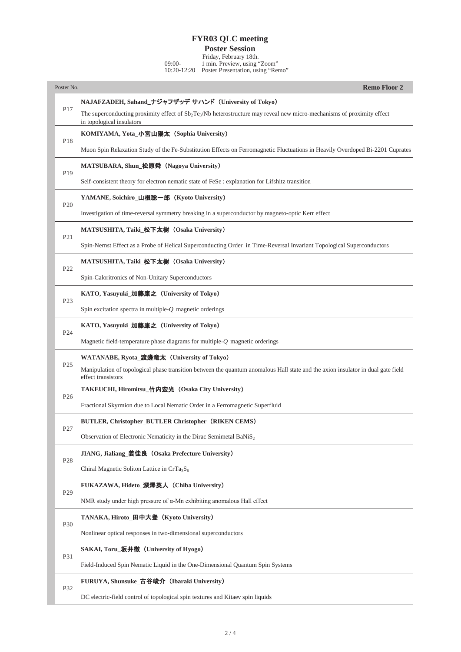### **Poster Session**

Friday, February 18th.

 09:00- 1 min. Preview, using "Zoom" 10:20-12:20 Poster Presentation, using "Remo"

| Poster No.      | <b>Remo Floor 2</b>                                                                                                                                                          |
|-----------------|------------------------------------------------------------------------------------------------------------------------------------------------------------------------------|
| P <sub>17</sub> | NAJAFZADEH, Sahand_ナジャフザッデ サハンド (University of Tokyo)                                                                                                                        |
|                 | The superconducting proximity effect of Sb <sub>2</sub> Te <sub>3</sub> /Nb heterostructure may reveal new micro-mechanisms of proximity effect<br>in topological insulators |
| P18             | KOMIYAMA, Yota_小宮山陽太 (Sophia University)                                                                                                                                     |
|                 | Muon Spin Relaxation Study of the Fe-Substitution Effects on Ferromagnetic Fluctuations in Heavily Overdoped Bi-2201 Cuprates                                                |
| P19             | MATSUBARA, Shun_松原舜 (Nagoya University)                                                                                                                                      |
|                 | Self-consistent theory for electron nematic state of FeSe : explanation for Lifshitz transition                                                                              |
| P <sub>20</sub> | YAMANE, Soichiro_山根聡一郎 (Kyoto University)                                                                                                                                    |
|                 | Investigation of time-reversal symmetry breaking in a superconductor by magneto-optic Kerr effect                                                                            |
| P <sub>21</sub> | MATSUSHITA, Taiki_松下太樹 (Osaka University)                                                                                                                                    |
|                 | Spin-Nernst Effect as a Probe of Helical Superconducting Order in Time-Reversal Invariant Topological Superconductors                                                        |
| P <sub>22</sub> | MATSUSHITA, Taiki_松下太樹 (Osaka University)                                                                                                                                    |
|                 | Spin-Caloritronics of Non-Unitary Superconductors                                                                                                                            |
| P <sub>23</sub> | KATO, Yasuyuki_加藤康之 (University of Tokyo)                                                                                                                                    |
|                 | Spin excitation spectra in multiple- $Q$ magnetic orderings                                                                                                                  |
| P <sub>24</sub> | KATO, Yasuyuki_加藤康之 (University of Tokyo)                                                                                                                                    |
|                 | Magnetic field-temperature phase diagrams for multiple- $Q$ magnetic orderings                                                                                               |
| P <sub>25</sub> | WATANABE, Ryota_渡邊竜太 (University of Tokyo)                                                                                                                                   |
|                 | Manipulation of topological phase transition between the quantum anomalous Hall state and the axion insulator in dual gate field<br>effect transistors                       |
| P <sub>26</sub> | TAKEUCHI, Hiromitsu_竹内宏光 (Osaka City University)                                                                                                                             |
|                 | Fractional Skyrmion due to Local Nematic Order in a Ferromagnetic Superfluid                                                                                                 |
|                 | BUTLER, Christopher_BUTLER Christopher (RIKEN CEMS)                                                                                                                          |
| P <sub>27</sub> | Observation of Electronic Nematicity in the Dirac Semimetal BaNiS <sub>2</sub>                                                                                               |
|                 | JIANG, Jialiang_姜佳良 (Osaka Prefecture University)                                                                                                                            |
| P <sub>28</sub> | Chiral Magnetic Soliton Lattice in $CrTa3S6$                                                                                                                                 |
| P <sub>29</sub> | FUKAZAWA, Hideto_深澤英人 (Chiba University)                                                                                                                                     |
|                 | NMR study under high pressure of $\alpha$ -Mn exhibiting anomalous Hall effect                                                                                               |
| P30             | TANAKA, Hiroto_田中大登 (Kyoto University)                                                                                                                                       |
|                 | Nonlinear optical responses in two-dimensional superconductors                                                                                                               |
| P31             | SAKAI, Toru_坂井徹 (University of Hyogo)                                                                                                                                        |
|                 | Field-Induced Spin Nematic Liquid in the One-Dimensional Quantum Spin Systems                                                                                                |
| P32             | FURUYA, Shunsuke_古谷峻介 (Ibaraki University)                                                                                                                                   |
|                 | DC electric-field control of topological spin textures and Kitaev spin liquids                                                                                               |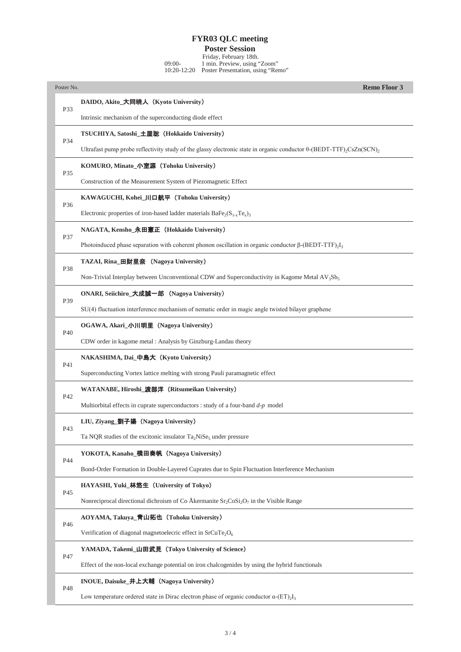#### **Poster Session**

 Friday, February 18th. 09:00- 1 min. Preview, using "Zoom" 10:20-12:20 Poster Presentation, using "Remo"

| Poster No.      | <b>Remo Floor 3</b>                                                                                                                                  |
|-----------------|------------------------------------------------------------------------------------------------------------------------------------------------------|
| P33             | DAIDO, Akito_大同暁人 (Kyoto University)                                                                                                                 |
|                 | Intrinsic mechanism of the superconducting diode effect                                                                                              |
| P34             | <b>TSUCHIYA, Satoshi_土屋聡 (Hokkaido University)</b>                                                                                                   |
|                 | Ultrafast pump probe reflectivity study of the glassy electronic state in organic conductor $\theta$ -(BEDT-TTF) <sub>2</sub> CsZn(SCN) <sub>2</sub> |
| P35             | KOMURO, Minato_小室源 (Tohoku University)                                                                                                               |
|                 | Construction of the Measurement System of Piezomagnetic Effect                                                                                       |
| P36             | KAWAGUCHI, Kohei_川口航平 (Tohoku University)                                                                                                            |
|                 | Electronic properties of iron-based ladder materials $BaFe_2(S_{1-x}Te_x)$                                                                           |
| P37             | NAGATA, Kensho_永田憲正 (Hokkaido University)                                                                                                            |
|                 | Photoinduced phase separation with coherent phonon oscillation in organic conductor $\beta$ -(BEDT-TTF) <sub>2</sub> I <sub>3</sub>                  |
| P38             | TAZAI, Rina_田財里奈 (Nagoya University)                                                                                                                 |
|                 | Non-Trivial Interplay between Unconventional CDW and Superconductivity in Kagome Metal $AV_3Sb_5$                                                    |
| P39             | ONARI, Seiichiro_大成誠一郎 (Nagoya University)                                                                                                           |
|                 | SU(4) fluctuation interference mechanism of nematic order in magic angle twisted bilayer graphene                                                    |
| P <sub>40</sub> | OGAWA, Akari_小川明里 (Nagoya University)                                                                                                                |
|                 | CDW order in kagome metal : Analysis by Ginzburg-Landau theory                                                                                       |
| P41             | NAKASHIMA, Dai_中島大 (Kyoto University)                                                                                                                |
|                 | Superconducting Vortex lattice melting with strong Pauli paramagnetic effect                                                                         |
| P42             | WATANABE, Hiroshi_渡部洋 (Ritsumeikan University)                                                                                                       |
|                 | Multiorbital effects in cuprate superconductors : study of a four-band $d-p$ model                                                                   |
|                 | LIU, Ziyang_劉子揚 (Nagoya University)                                                                                                                  |
| P43             | Ta NQR studies of the excitonic insulator $Ta_2NiSe_5$ under pressure                                                                                |
|                 | YOKOTA, Kanaho_横田奏帆 (Nagoya University)                                                                                                              |
| P44             | Bond-Order Formation in Double-Layered Cuprates due to Spin Fluctuation Interference Mechanism                                                       |
| P45             | HAYASHI, Yuki_林悠生 (University of Tokyo)                                                                                                              |
|                 | Nonreciprocal directional dichroism of Co Åkermanite $Sr_2CoSi_2O_7$ in the Visible Range                                                            |
| P46             | AOYAMA, Takuya_青山拓也 (Tohoku University)                                                                                                              |
|                 | Verification of diagonal magnetoelecric effect in SrCuTe <sub>2</sub> O <sub>6</sub>                                                                 |
| P47             | YAMADA, Takemi_山田武見 (Tokyo University of Science)                                                                                                    |
|                 | Effect of the non-local exchange potential on iron chalcogenides by using the hybrid functionals                                                     |
| P48             | INOUE, Daisuke_井上大輔 (Nagoya University)                                                                                                              |
|                 | Low temperature ordered state in Dirac electron phase of organic conductor $\alpha$ -(ET) <sub>2</sub> I <sub>3</sub>                                |